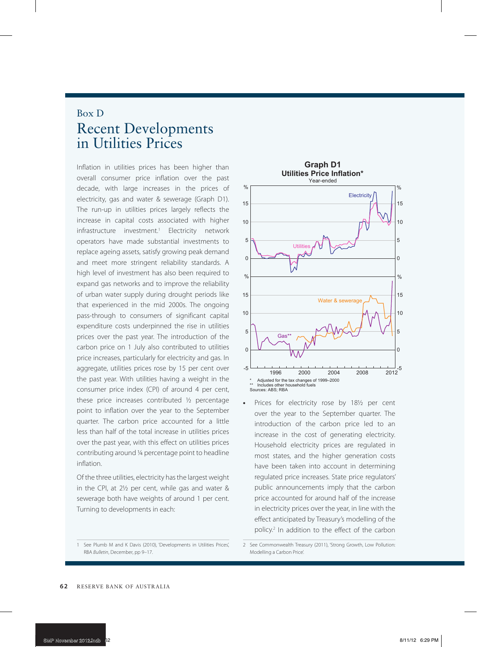## Box D Recent Developments in Utilities Prices

overall consumer price inflation over the past decade, with large increases in the prices of electricity, gas and water & sewerage (Graph D1). The run-up in utilities prices largely reflects the increase in capital costs associated with higher infrastructure investment.<sup>1</sup> Electricity network operators have made substantial investments to replace ageing assets, satisfy growing peak demand and meet more stringent reliability standards. A high level of investment has also been required to expand gas networks and to improve the reliability of urban water supply during drought periods like that experienced in the mid 2000s. The ongoing pass-through to consumers of significant capital expenditure costs underpinned the rise in utilities prices over the past year. The introduction of the carbon price on 1 July also contributed to utilities price increases, particularly for electricity and gas. In aggregate, utilities prices rose by 15 per cent over the past year. With utilities having a weight in the consumer price index (CPI) of around 4 per cent, these price increases contributed ½ percentage point to inflation over the year to the September quarter. The carbon price accounted for a little less than half of the total increase in utilities prices over the past year, with this effect on utilities prices contributing around ¼ percentage point to headline inflation.

Of the three utilities, electricity has the largest weight in the CPI, at 2½ per cent, while gas and water & sewerage both have weights of around 1 per cent. Turning to developments in each:



Prices for electricity rose by 18<sup>1</sup>/<sub>2</sub> per cent over the year to the September quarter. The introduction of the carbon price led to an increase in the cost of generating electricity. Household electricity prices are regulated in most states, and the higher generation costs have been taken into account in determining regulated price increases. State price regulators' public announcements imply that the carbon price accounted for around half of the increase in electricity prices over the year, in line with the effect anticipated by Treasury's modelling of the policy.2 In addition to the effect of the carbon

<sup>1</sup> See Plumb M and K Davis (2010), 'Developments in Utilities Prices', RBA *Bulletin*, December, pp 9–17.

<sup>2</sup> See Commonwealth Treasury (2011), 'Strong Growth, Low Pollution: Modelling a Carbon Price'.